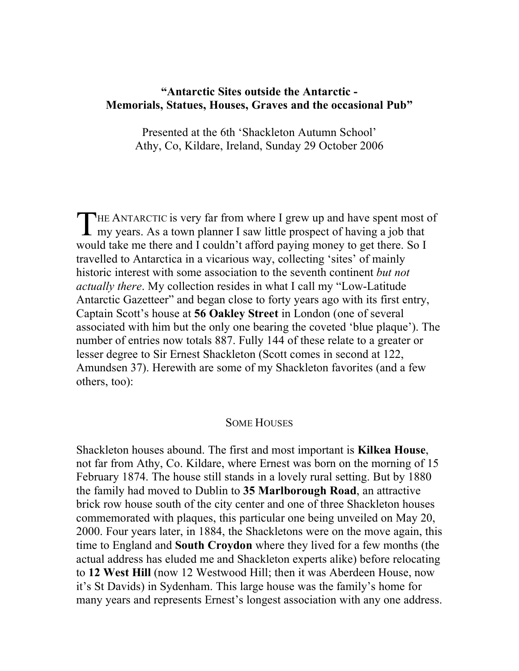# **"Antarctic Sites outside the Antarctic - Memorials, Statues, Houses, Graves and the occasional Pub"**

Presented at the 6th 'Shackleton Autumn School' Athy, Co, Kildare, Ireland, Sunday 29 October 2006

THE ANTARCTIC is very far from where I grew up and have spent most of my years. As a town planner I saw little prospect of having a job that **L** my years. As a town planner I saw little prospect of having a job that would take me there and I couldn't afford paying money to get there. So I travelled to Antarctica in a vicarious way, collecting 'sites' of mainly historic interest with some association to the seventh continent *but not actually there*. My collection resides in what I call my "Low-Latitude Antarctic Gazetteer" and began close to forty years ago with its first entry, Captain Scott's house at **56 Oakley Street** in London (one of several associated with him but the only one bearing the coveted 'blue plaque'). The number of entries now totals 887. Fully 144 of these relate to a greater or lesser degree to Sir Ernest Shackleton (Scott comes in second at 122, Amundsen 37). Herewith are some of my Shackleton favorites (and a few others, too):

## SOME HOUSES

Shackleton houses abound. The first and most important is **Kilkea House**, not far from Athy, Co. Kildare, where Ernest was born on the morning of 15 February 1874. The house still stands in a lovely rural setting. But by 1880 the family had moved to Dublin to **35 Marlborough Road**, an attractive brick row house south of the city center and one of three Shackleton houses commemorated with plaques, this particular one being unveiled on May 20, 2000. Four years later, in 1884, the Shackletons were on the move again, this time to England and **South Croydon** where they lived for a few months (the actual address has eluded me and Shackleton experts alike) before relocating to **12 West Hill** (now 12 Westwood Hill; then it was Aberdeen House, now it's St Davids) in Sydenham. This large house was the family's home for many years and represents Ernest's longest association with any one address.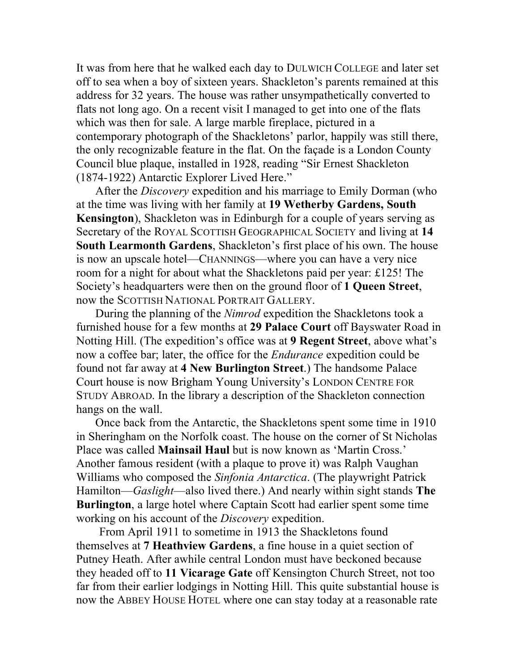It was from here that he walked each day to DULWICH COLLEGE and later set off to sea when a boy of sixteen years. Shackleton's parents remained at this address for 32 years. The house was rather unsympathetically converted to flats not long ago. On a recent visit I managed to get into one of the flats which was then for sale. A large marble fireplace, pictured in a contemporary photograph of the Shackletons' parlor, happily was still there, the only recognizable feature in the flat. On the façade is a London County Council blue plaque, installed in 1928, reading "Sir Ernest Shackleton (1874-1922) Antarctic Explorer Lived Here."

After the *Discovery* expedition and his marriage to Emily Dorman (who at the time was living with her family at **19 Wetherby Gardens, South Kensington**), Shackleton was in Edinburgh for a couple of years serving as Secretary of the ROYAL SCOTTISH GEOGRAPHICAL SOCIETY and living at **14 South Learmonth Gardens**, Shackleton's first place of his own. The house is now an upscale hotel—CHANNINGS—where you can have a very nice room for a night for about what the Shackletons paid per year: £125! The Society's headquarters were then on the ground floor of **1 Queen Street**, now the SCOTTISH NATIONAL PORTRAIT GALLERY.

During the planning of the *Nimrod* expedition the Shackletons took a furnished house for a few months at **29 Palace Court** off Bayswater Road in Notting Hill. (The expedition's office was at **9 Regent Street**, above what's now a coffee bar; later, the office for the *Endurance* expedition could be found not far away at **4 New Burlington Street**.) The handsome Palace Court house is now Brigham Young University's LONDON CENTRE FOR STUDY ABROAD. In the library a description of the Shackleton connection hangs on the wall.

Once back from the Antarctic, the Shackletons spent some time in 1910 in Sheringham on the Norfolk coast. The house on the corner of St Nicholas Place was called **Mainsail Haul** but is now known as 'Martin Cross.' Another famous resident (with a plaque to prove it) was Ralph Vaughan Williams who composed the *Sinfonia Antarctica*. (The playwright Patrick Hamilton—*Gaslight*—also lived there.) And nearly within sight stands **The Burlington**, a large hotel where Captain Scott had earlier spent some time working on his account of the *Discovery* expedition.

From April 1911 to sometime in 1913 the Shackletons found themselves at **7 Heathview Gardens**, a fine house in a quiet section of Putney Heath. After awhile central London must have beckoned because they headed off to **11 Vicarage Gate** off Kensington Church Street, not too far from their earlier lodgings in Notting Hill. This quite substantial house is now the ABBEY HOUSE HOTEL where one can stay today at a reasonable rate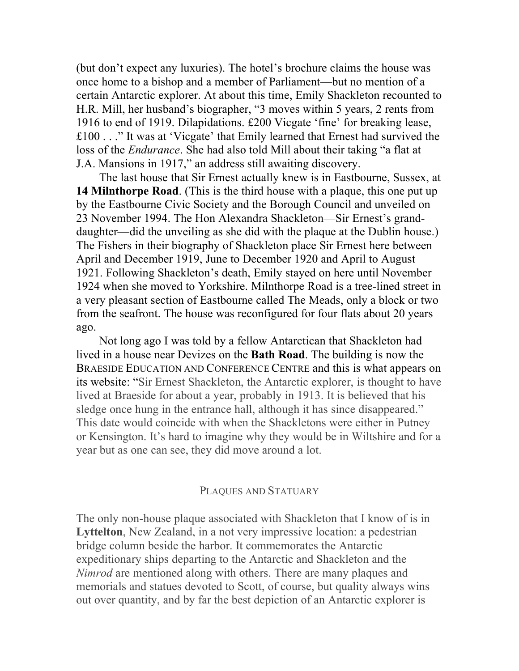(but don't expect any luxuries). The hotel's brochure claims the house was once home to a bishop and a member of Parliament—but no mention of a certain Antarctic explorer. At about this time, Emily Shackleton recounted to H.R. Mill, her husband's biographer, "3 moves within 5 years, 2 rents from 1916 to end of 1919. Dilapidations. £200 Vicgate 'fine' for breaking lease, £100 . . ." It was at 'Vicgate' that Emily learned that Ernest had survived the loss of the *Endurance*. She had also told Mill about their taking "a flat at J.A. Mansions in 1917," an address still awaiting discovery.

The last house that Sir Ernest actually knew is in Eastbourne, Sussex, at **14 Milnthorpe Road**. (This is the third house with a plaque, this one put up by the Eastbourne Civic Society and the Borough Council and unveiled on 23 November 1994. The Hon Alexandra Shackleton—Sir Ernest's granddaughter—did the unveiling as she did with the plaque at the Dublin house.) The Fishers in their biography of Shackleton place Sir Ernest here between April and December 1919, June to December 1920 and April to August 1921. Following Shackleton's death, Emily stayed on here until November 1924 when she moved to Yorkshire. Milnthorpe Road is a tree-lined street in a very pleasant section of Eastbourne called The Meads, only a block or two from the seafront. The house was reconfigured for four flats about 20 years ago.

Not long ago I was told by a fellow Antarctican that Shackleton had lived in a house near Devizes on the **Bath Road**. The building is now the BRAESIDE EDUCATION AND CONFERENCE CENTRE and this is what appears on its website: "Sir Ernest Shackleton, the Antarctic explorer, is thought to have lived at Braeside for about a year, probably in 1913. It is believed that his sledge once hung in the entrance hall, although it has since disappeared." This date would coincide with when the Shackletons were either in Putney or Kensington. It's hard to imagine why they would be in Wiltshire and for a year but as one can see, they did move around a lot.

### PLAQUES AND STATUARY

The only non-house plaque associated with Shackleton that I know of is in **Lyttelton**, New Zealand, in a not very impressive location: a pedestrian bridge column beside the harbor. It commemorates the Antarctic expeditionary ships departing to the Antarctic and Shackleton and the *Nimrod* are mentioned along with others. There are many plaques and memorials and statues devoted to Scott, of course, but quality always wins out over quantity, and by far the best depiction of an Antarctic explorer is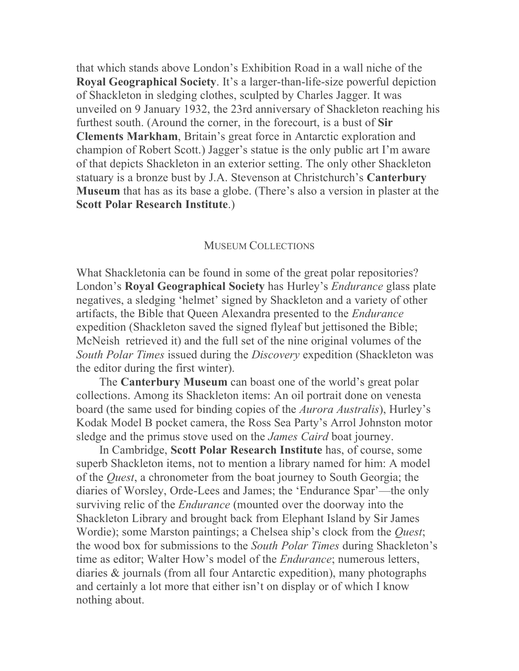that which stands above London's Exhibition Road in a wall niche of the **Royal Geographical Society**. It's a larger-than-life-size powerful depiction of Shackleton in sledging clothes, sculpted by Charles Jagger. It was unveiled on 9 January 1932, the 23rd anniversary of Shackleton reaching his furthest south. (Around the corner, in the forecourt, is a bust of **Sir Clements Markham**, Britain's great force in Antarctic exploration and champion of Robert Scott.) Jagger's statue is the only public art I'm aware of that depicts Shackleton in an exterior setting. The only other Shackleton statuary is a bronze bust by J.A. Stevenson at Christchurch's **Canterbury Museum** that has as its base a globe. (There's also a version in plaster at the **Scott Polar Research Institute**.)

#### MUSEUM COLLECTIONS

What Shackletonia can be found in some of the great polar repositories? London's **Royal Geographical Society** has Hurley's *Endurance* glass plate negatives, a sledging 'helmet' signed by Shackleton and a variety of other artifacts, the Bible that Queen Alexandra presented to the *Endurance* expedition (Shackleton saved the signed flyleaf but jettisoned the Bible; McNeish retrieved it) and the full set of the nine original volumes of the *South Polar Times* issued during the *Discovery* expedition (Shackleton was the editor during the first winter).

The **Canterbury Museum** can boast one of the world's great polar collections. Among its Shackleton items: An oil portrait done on venesta board (the same used for binding copies of the *Aurora Australis*), Hurley's Kodak Model B pocket camera, the Ross Sea Party's Arrol Johnston motor sledge and the primus stove used on the *James Caird* boat journey.

In Cambridge, **Scott Polar Research Institute** has, of course, some superb Shackleton items, not to mention a library named for him: A model of the *Quest*, a chronometer from the boat journey to South Georgia; the diaries of Worsley, Orde-Lees and James; the 'Endurance Spar'—the only surviving relic of the *Endurance* (mounted over the doorway into the Shackleton Library and brought back from Elephant Island by Sir James Wordie); some Marston paintings; a Chelsea ship's clock from the *Quest*; the wood box for submissions to the *South Polar Times* during Shackleton's time as editor; Walter How's model of the *Endurance*; numerous letters, diaries & journals (from all four Antarctic expedition), many photographs and certainly a lot more that either isn't on display or of which I know nothing about.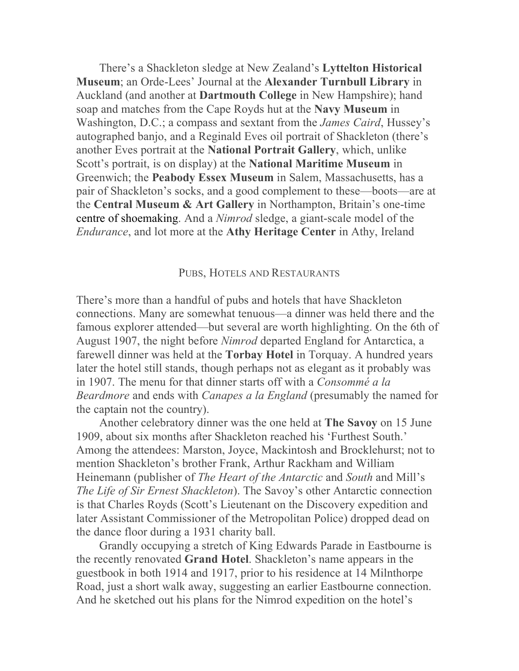There's a Shackleton sledge at New Zealand's **Lyttelton Historical Museum**; an Orde-Lees' Journal at the **Alexander Turnbull Library** in Auckland (and another at **Dartmouth College** in New Hampshire); hand soap and matches from the Cape Royds hut at the **Navy Museum** in Washington, D.C.; a compass and sextant from the *James Caird*, Hussey's autographed banjo, and a Reginald Eves oil portrait of Shackleton (there's another Eves portrait at the **National Portrait Gallery**, which, unlike Scott's portrait, is on display) at the **National Maritime Museum** in Greenwich; the **Peabody Essex Museum** in Salem, Massachusetts, has a pair of Shackleton's socks, and a good complement to these—boots—are at the **Central Museum & Art Gallery** in Northampton, Britain's one-time centre of shoemaking. And a *Nimrod* sledge, a giant-scale model of the *Endurance*, and lot more at the **Athy Heritage Center** in Athy, Ireland

#### PUBS, HOTELS AND RESTAURANTS

There's more than a handful of pubs and hotels that have Shackleton connections. Many are somewhat tenuous—a dinner was held there and the famous explorer attended—but several are worth highlighting. On the 6th of August 1907, the night before *Nimrod* departed England for Antarctica, a farewell dinner was held at the **Torbay Hotel** in Torquay. A hundred years later the hotel still stands, though perhaps not as elegant as it probably was in 1907. The menu for that dinner starts off with a *Consommé a la Beardmore* and ends with *Canapes a la England* (presumably the named for the captain not the country).

Another celebratory dinner was the one held at **The Savoy** on 15 June 1909, about six months after Shackleton reached his 'Furthest South.' Among the attendees: Marston, Joyce, Mackintosh and Brocklehurst; not to mention Shackleton's brother Frank, Arthur Rackham and William Heinemann (publisher of *The Heart of the Antarctic* and *South* and Mill's *The Life of Sir Ernest Shackleton*). The Savoy's other Antarctic connection is that Charles Royds (Scott's Lieutenant on the Discovery expedition and later Assistant Commissioner of the Metropolitan Police) dropped dead on the dance floor during a 1931 charity ball.

Grandly occupying a stretch of King Edwards Parade in Eastbourne is the recently renovated **Grand Hotel**. Shackleton's name appears in the guestbook in both 1914 and 1917, prior to his residence at 14 Milnthorpe Road, just a short walk away, suggesting an earlier Eastbourne connection. And he sketched out his plans for the Nimrod expedition on the hotel's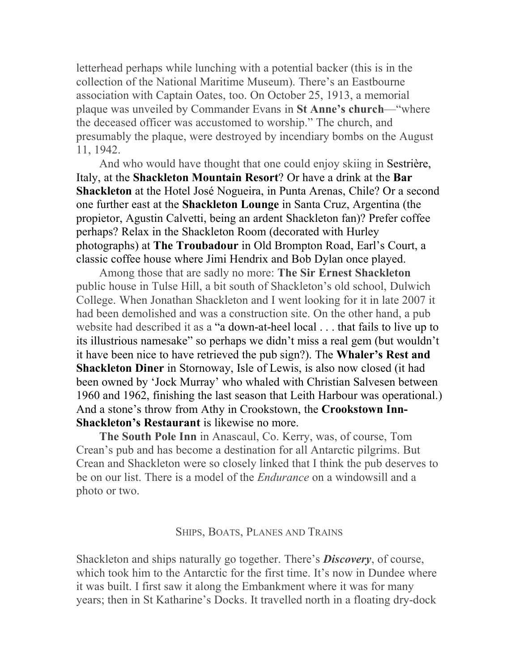letterhead perhaps while lunching with a potential backer (this is in the collection of the National Maritime Museum). There's an Eastbourne association with Captain Oates, too. On October 25, 1913, a memorial plaque was unveiled by Commander Evans in **St Anne's church**—"where the deceased officer was accustomed to worship." The church, and presumably the plaque, were destroyed by incendiary bombs on the August 11, 1942.

And who would have thought that one could enjoy skiing in Sestrière, Italy, at the **Shackleton Mountain Resort**? Or have a drink at the **Bar Shackleton** at the Hotel José Nogueira, in Punta Arenas, Chile? Or a second one further east at the **Shackleton Lounge** in Santa Cruz, Argentina (the propietor, Agustin Calvetti, being an ardent Shackleton fan)? Prefer coffee perhaps? Relax in the Shackleton Room (decorated with Hurley photographs) at **The Troubadour** in Old Brompton Road, Earl's Court, a classic coffee house where Jimi Hendrix and Bob Dylan once played.

Among those that are sadly no more: **The Sir Ernest Shackleton** public house in Tulse Hill, a bit south of Shackleton's old school, Dulwich College. When Jonathan Shackleton and I went looking for it in late 2007 it had been demolished and was a construction site. On the other hand, a pub website had described it as a "a down-at-heel local . . . that fails to live up to its illustrious namesake" so perhaps we didn't miss a real gem (but wouldn't it have been nice to have retrieved the pub sign?). The **Whaler's Rest and Shackleton Diner** in Stornoway, Isle of Lewis, is also now closed (it had been owned by 'Jock Murray' who whaled with Christian Salvesen between 1960 and 1962, finishing the last season that Leith Harbour was operational.) And a stone's throw from Athy in Crookstown, the **Crookstown Inn-Shackleton's Restaurant** is likewise no more.

**The South Pole Inn** in Anascaul, Co. Kerry, was, of course, Tom Crean's pub and has become a destination for all Antarctic pilgrims. But Crean and Shackleton were so closely linked that I think the pub deserves to be on our list. There is a model of the *Endurance* on a windowsill and a photo or two.

#### SHIPS, BOATS, PLANES AND TRAINS

Shackleton and ships naturally go together. There's *Discovery*, of course, which took him to the Antarctic for the first time. It's now in Dundee where it was built. I first saw it along the Embankment where it was for many years; then in St Katharine's Docks. It travelled north in a floating dry-dock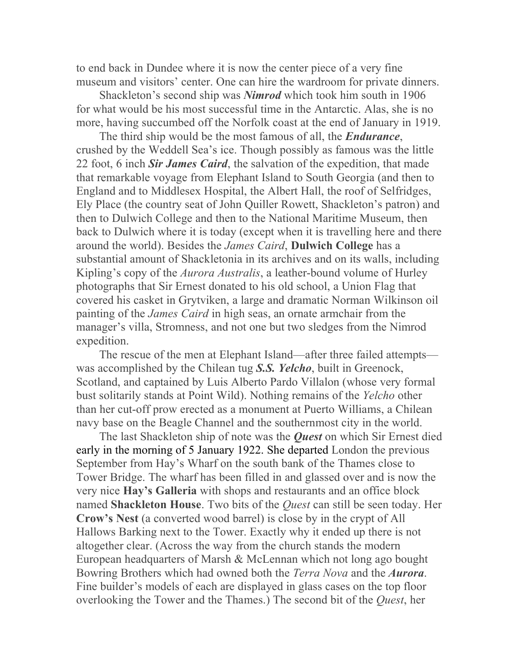to end back in Dundee where it is now the center piece of a very fine museum and visitors' center. One can hire the wardroom for private dinners.

Shackleton's second ship was *Nimrod* which took him south in 1906 for what would be his most successful time in the Antarctic. Alas, she is no more, having succumbed off the Norfolk coast at the end of January in 1919.

The third ship would be the most famous of all, the *Endurance*, crushed by the Weddell Sea's ice. Though possibly as famous was the little 22 foot, 6 inch *Sir James Caird*, the salvation of the expedition, that made that remarkable voyage from Elephant Island to South Georgia (and then to England and to Middlesex Hospital, the Albert Hall, the roof of Selfridges, Ely Place (the country seat of John Quiller Rowett, Shackleton's patron) and then to Dulwich College and then to the National Maritime Museum, then back to Dulwich where it is today (except when it is travelling here and there around the world). Besides the *James Caird*, **Dulwich College** has a substantial amount of Shackletonia in its archives and on its walls, including Kipling's copy of the *Aurora Australis*, a leather-bound volume of Hurley photographs that Sir Ernest donated to his old school, a Union Flag that covered his casket in Grytviken, a large and dramatic Norman Wilkinson oil painting of the *James Caird* in high seas, an ornate armchair from the manager's villa, Stromness, and not one but two sledges from the Nimrod expedition.

The rescue of the men at Elephant Island—after three failed attempts was accomplished by the Chilean tug *S.S. Yelcho*, built in Greenock, Scotland, and captained by Luis Alberto Pardo Villalon (whose very formal bust solitarily stands at Point Wild). Nothing remains of the *Yelcho* other than her cut-off prow erected as a monument at Puerto Williams, a Chilean navy base on the Beagle Channel and the southernmost city in the world.

The last Shackleton ship of note was the *Quest* on which Sir Ernest died early in the morning of 5 January 1922. She departed London the previous September from Hay's Wharf on the south bank of the Thames close to Tower Bridge. The wharf has been filled in and glassed over and is now the very nice **Hay's Galleria** with shops and restaurants and an office block named **Shackleton House**. Two bits of the *Quest* can still be seen today. Her **Crow's Nest** (a converted wood barrel) is close by in the crypt of All Hallows Barking next to the Tower. Exactly why it ended up there is not altogether clear. (Across the way from the church stands the modern European headquarters of Marsh & McLennan which not long ago bought Bowring Brothers which had owned both the *Terra Nova* and the *Aurora*. Fine builder's models of each are displayed in glass cases on the top floor overlooking the Tower and the Thames.) The second bit of the *Quest*, her